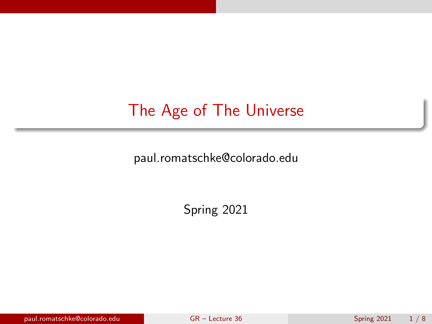# <span id="page-0-0"></span>The Age of The Universe

paul.romatschke@colorado.edu

Spring 2021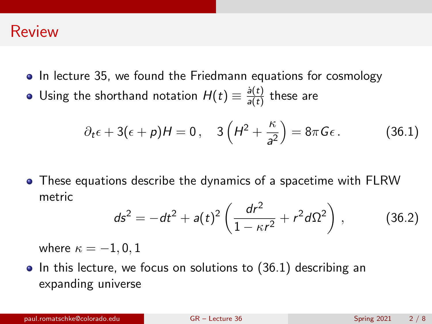#### Review

- In lecture 35, we found the Friedmann equations for cosmology
- Using the shorthand notation  $H(t) \equiv \frac{\dot{a}(t)}{a(t)}$  $\frac{d(t)}{a(t)}$  these are

<span id="page-1-0"></span>
$$
\partial_t \epsilon + 3(\epsilon + p)H = 0
$$
,  $3\left(H^2 + \frac{\kappa}{a^2}\right) = 8\pi G \epsilon$ . (36.1)

These equations describe the dynamics of a spacetime with FLRW metric

<span id="page-1-1"></span>
$$
ds^{2} = -dt^{2} + a(t)^{2} \left( \frac{dr^{2}}{1 - \kappa r^{2}} + r^{2} d\Omega^{2} \right), \qquad (36.2)
$$

where  $\kappa = -1, 0, 1$ 

 $\bullet$  In this lecture, we focus on solutions to [\(36.1\)](#page-1-0) describing an expanding universe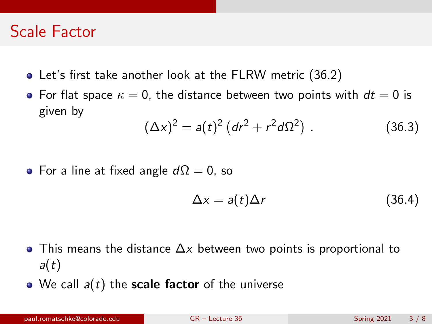## Scale Factor

- Let's first take another look at the FLRW metric [\(36.2\)](#page-1-1)
- For flat space  $\kappa = 0$ , the distance between two points with  $dt = 0$  is given by

$$
(\Delta x)^2 = a(t)^2 (dr^2 + r^2 d\Omega^2)
$$
 (36.3)

• For a line at fixed angle  $d\Omega = 0$ , so

$$
\Delta x = a(t)\Delta r \tag{36.4}
$$

- $\bullet$  This means the distance  $\Delta x$  between two points is proportional to  $a(t)$
- $\bullet$  We call  $a(t)$  the scale factor of the universe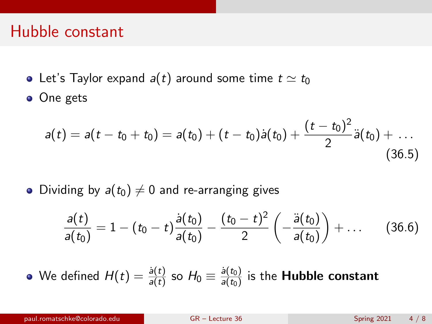#### Hubble constant

- Let's Taylor expand  $a(t)$  around some time  $t \simeq t_0$
- One gets

$$
a(t) = a(t - t_0 + t_0) = a(t_0) + (t - t_0)\dot{a}(t_0) + \frac{(t - t_0)^2}{2}\ddot{a}(t_0) + \ldots
$$
\n(36.5)

• Dividing by  $a(t_0) \neq 0$  and re-arranging gives

$$
\frac{a(t)}{a(t_0)} = 1 - (t_0 - t) \frac{\dot{a}(t_0)}{a(t_0)} - \frac{(t_0 - t)^2}{2} \left( -\frac{\ddot{a}(t_0)}{a(t_0)} \right) + \dots \quad (36.6)
$$

We defined  $H(t)=\frac{\dot{a}(t)}{a(t)}$  so  $H_0\equiv\frac{\dot{a}(t_0)}{a(t_0)}$  $\frac{a(t_0)}{a(t_0)}$  is the **Hubble constant**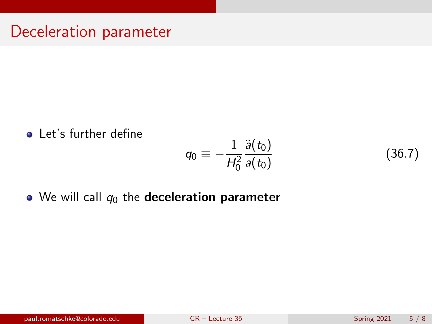#### Deceleration parameter

**•** Let's further define

$$
q_0\equiv -\frac{1}{H_0^2}\frac{\ddot{a}(t_0)}{a(t_0)}
$$

 $\bullet$  We will call  $q_0$  the deceleration parameter

(36.7)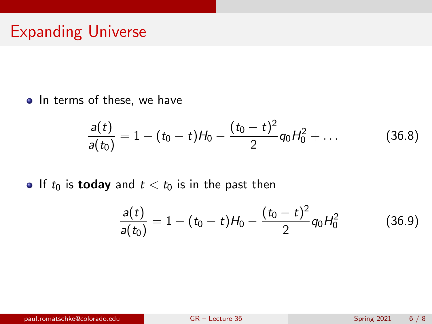## Expanding Universe

• In terms of these, we have

$$
\frac{a(t)}{a(t_0)} = 1 - (t_0 - t)H_0 - \frac{(t_0 - t)^2}{2}q_0H_0^2 + \dots
$$
 (36.8)

If to is **today** and  $t < t_0$  is in the past then

$$
\frac{a(t)}{a(t_0)} = 1 - (t_0 - t)H_0 - \frac{(t_0 - t)^2}{2}q_0H_0^2
$$
 (36.9)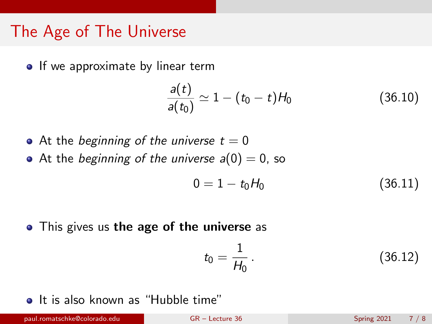## The Age of The Universe

• If we approximate by linear term

$$
\frac{a(t)}{a(t_0)} \simeq 1 - (t_0 - t)H_0 \tag{36.10}
$$

- At the beginning of the universe  $t = 0$
- At the beginning of the universe  $a(0) = 0$ , so

$$
0 = 1 - t_0 H_0 \tag{36.11}
$$

• This gives us the age of the universe as

$$
t_0 = \frac{1}{H_0} \,. \tag{36.12}
$$

• It is also known as "Hubble time"

paul.romatschke@colorado.edu [GR – Lecture 36](#page-0-0) Spring 2021 7 / 8